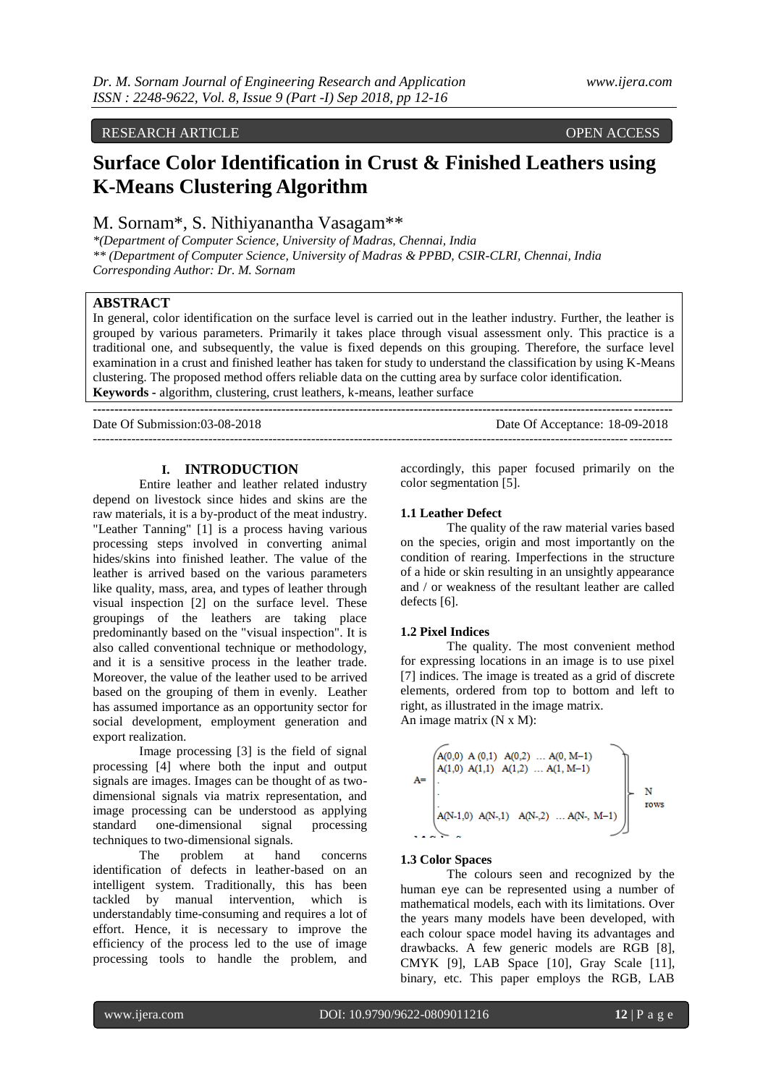# RESEARCH ARTICLE OPEN ACCESS

# **Surface Color Identification in Crust & Finished Leathers using K-Means Clustering Algorithm**

M. Sornam\*, S. Nithiyanantha Vasagam\*\*

*\*(Department of Computer Science, University of Madras, Chennai, India \*\* (Department of Computer Science, University of Madras & PPBD, CSIR-CLRI, Chennai, India Corresponding Author: Dr. M. Sornam*

# **ABSTRACT**

In general, color identification on the surface level is carried out in the leather industry. Further, the leather is grouped by various parameters. Primarily it takes place through visual assessment only. This practice is a traditional one, and subsequently, the value is fixed depends on this grouping. Therefore, the surface level examination in a crust and finished leather has taken for study to understand the classification by using K-Means clustering. The proposed method offers reliable data on the cutting area by surface color identification. **Keywords -** algorithm, clustering, crust leathers, k-means, leather surface

---------------------------------------------------------------------------------------------------------------------------------------

**---------------------------------------------------------------------------------------------------------------------------------------** Date Of Submission:03-08-2018 Date Of Acceptance: 18-09-2018

## **I. INTRODUCTION**

Entire leather and leather related industry depend on livestock since hides and skins are the raw materials, it is a by-product of the meat industry. "Leather Tanning" [1] is a process having various processing steps involved in converting animal hides/skins into finished leather. The value of the leather is arrived based on the various parameters like quality, mass, area, and types of leather through visual inspection [2] on the surface level. These groupings of the leathers are taking place predominantly based on the "visual inspection". It is also called conventional technique or methodology, and it is a sensitive process in the leather trade. Moreover, the value of the leather used to be arrived based on the grouping of them in evenly. Leather has assumed importance as an opportunity sector for social development, employment generation and export realization.

Image processing [3] is the field of signal processing [4] where both the input and output signals are images. Images can be thought of as twodimensional signals via matrix representation, and image processing can be understood as applying<br>standard one-dimensional signal processing standard one-dimensional signal techniques to two-dimensional signals.

The problem at hand concerns identification of defects in leather-based on an intelligent system. Traditionally, this has been tackled by manual intervention, which is understandably time-consuming and requires a lot of effort. Hence, it is necessary to improve the efficiency of the process led to the use of image processing tools to handle the problem, and

accordingly, this paper focused primarily on the color segmentation [5].

# **1.1 Leather Defect**

The quality of the raw material varies based on the species, origin and most importantly on the condition of rearing. Imperfections in the structure of a hide or skin resulting in an unsightly appearance and / or weakness of the resultant leather are called defects [6].

## **1.2 Pixel Indices**

The quality. The most convenient method for expressing locations in an image is to use pixel [7] indices. The image is treated as a grid of discrete elements, ordered from top to bottom and left to right, as illustrated in the image matrix. An image matrix (N x M):

$$
A = \begin{pmatrix} A(0,0) & A(0,1) & A(0,2) & \dots & A(0, M-1) \\ A(1,0) & A(1,1) & A(1,2) & \dots & A(1, M-1) \\ \vdots & \vdots & \ddots & \vdots \\ A(N-1,0) & A(N-,1) & A(N-,2) & \dots & A(N-, M-1) \end{pmatrix} N
$$
rows

#### **1.3 Color Spaces**

The colours seen and recognized by the human eye can be represented using a number of mathematical models, each with its limitations. Over the years many models have been developed, with each colour space model having its advantages and drawbacks. A few generic models are RGB [8], CMYK [9], LAB Space [10], Gray Scale [11], binary, etc. This paper employs the RGB, LAB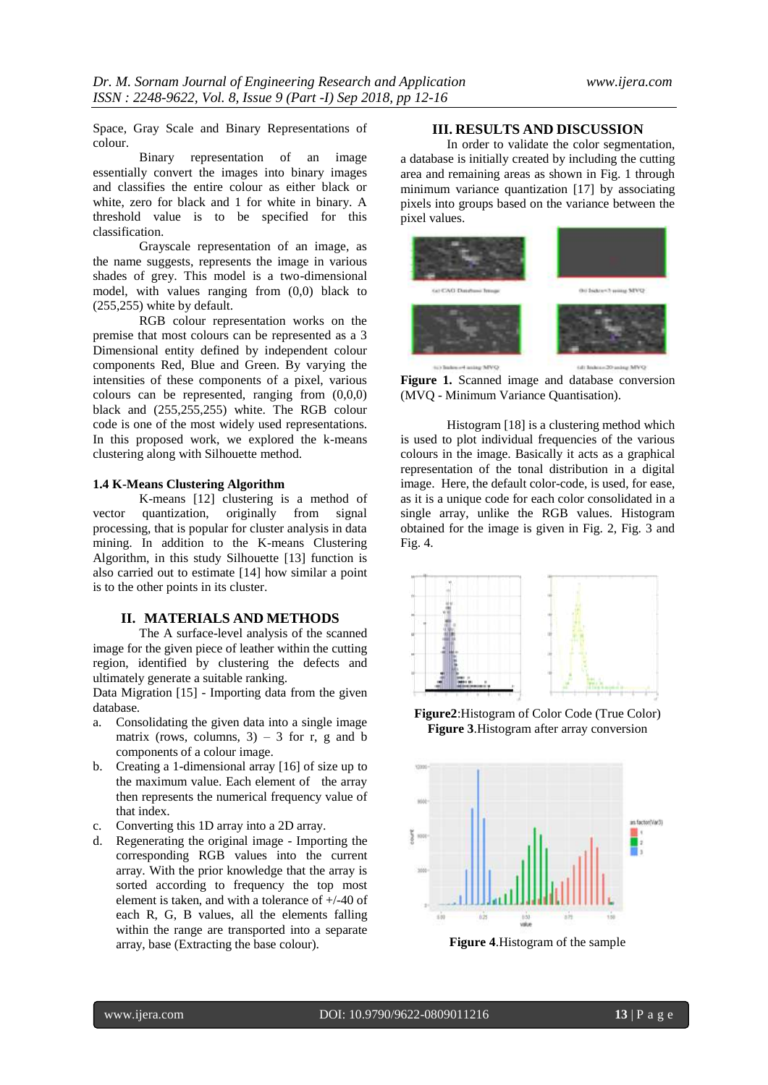Space, Gray Scale and Binary Representations of colour.

Binary representation of an image essentially convert the images into binary images and classifies the entire colour as either black or white, zero for black and 1 for white in binary. A threshold value is to be specified for this classification.

Grayscale representation of an image, as the name suggests, represents the image in various shades of grey. This model is a two-dimensional model, with values ranging from (0,0) black to (255,255) white by default.

RGB colour representation works on the premise that most colours can be represented as a 3 Dimensional entity defined by independent colour components Red, Blue and Green. By varying the intensities of these components of a pixel, various colours can be represented, ranging from (0,0,0) black and (255,255,255) white. The RGB colour code is one of the most widely used representations. In this proposed work, we explored the k-means clustering along with Silhouette method.

#### **1.4 K-Means Clustering Algorithm**

K-means [12] clustering is a method of vector quantization, originally from signal processing, that is popular for cluster analysis in data mining. In addition to the K-means Clustering Algorithm, in this study Silhouette [13] function is also carried out to estimate [14] how similar a point is to the other points in its cluster.

#### **II. MATERIALS AND METHODS**

The A surface-level analysis of the scanned image for the given piece of leather within the cutting region, identified by clustering the defects and ultimately generate a suitable ranking.

Data Migration [15] - Importing data from the given database.

- a. Consolidating the given data into a single image matrix (rows, columns,  $3$ ) – 3 for r, g and b components of a colour image.
- b. Creating a 1-dimensional array [16] of size up to the maximum value. Each element of the array then represents the numerical frequency value of that index.
- c. Converting this 1D array into a 2D array.
- d. Regenerating the original image Importing the corresponding RGB values into the current array. With the prior knowledge that the array is sorted according to frequency the top most element is taken, and with a tolerance of +/-40 of each R, G, B values, all the elements falling within the range are transported into a separate array, base (Extracting the base colour).

# **III. RESULTS AND DISCUSSION**

In order to validate the color segmentation, a database is initially created by including the cutting area and remaining areas as shown in Fig. 1 through minimum variance quantization [17] by associating pixels into groups based on the variance between the pixel values.



**Figure 1.** Scanned image and database conversion (MVQ - Minimum Variance Quantisation).

Histogram [18] is a clustering method which is used to plot individual frequencies of the various colours in the image. Basically it acts as a graphical representation of the tonal distribution in a digital image. Here, the default color-code, is used, for ease, as it is a unique code for each color consolidated in a single array, unlike the RGB values. Histogram obtained for the image is given in Fig. 2, Fig. 3 and Fig. 4.



**Figure2**:Histogram of Color Code (True Color) **Figure 3**.Histogram after array conversion



**Figure 4**.Histogram of the sample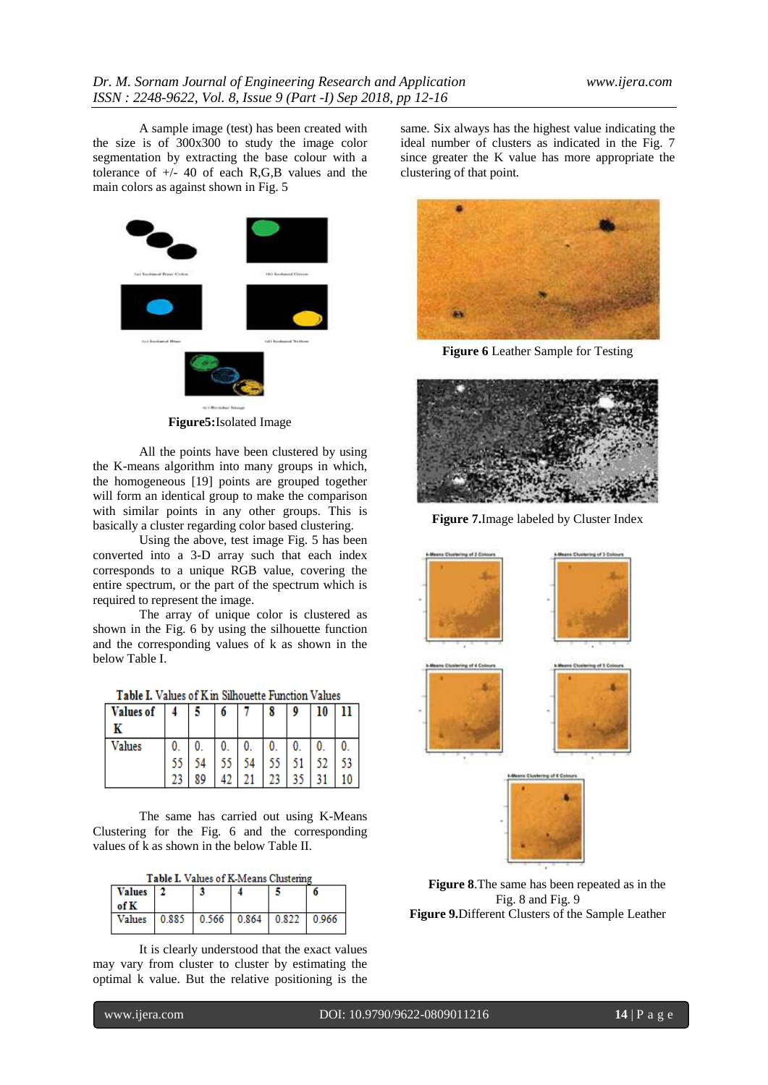A sample image (test) has been created with the size is of 300x300 to study the image color segmentation by extracting the base colour with a tolerance of +/- 40 of each R,G,B values and the main colors as against shown in Fig. 5



**Figure5:**Isolated Image

All the points have been clustered by using the K-means algorithm into many groups in which, the homogeneous [19] points are grouped together will form an identical group to make the comparison with similar points in any other groups. This is basically a cluster regarding color based clustering.

Using the above, test image Fig. 5 has been converted into a 3-D array such that each index corresponds to a unique RGB value, covering the entire spectrum, or the part of the spectrum which is required to represent the image.

The array of unique color is clustered as shown in the Fig. 6 by using the silhouette function and the corresponding values of k as shown in the below Table I.

|  |  |  | <b>Table I.</b> Values of K in Silhouette Function Values |  |  |
|--|--|--|-----------------------------------------------------------|--|--|
|--|--|--|-----------------------------------------------------------|--|--|

| Values of | -4 | -5 | O               |    | 8  | 9            | 10 | п  |
|-----------|----|----|-----------------|----|----|--------------|----|----|
|           |    |    |                 |    |    |              |    |    |
| Values    | 0. |    | 0.              | 0. | 0. | 0.           | 0. |    |
|           | 55 |    | 55 <sub>1</sub> | 54 |    | $55 \mid 51$ | 52 | 53 |
|           |    | ۵Q |                 |    |    |              | 31 | 10 |

The same has carried out using K-Means Clustering for the Fig. 6 and the corresponding values of k as shown in the below Table II.

|  | Table I. Values of K-Means Clustering |  |
|--|---------------------------------------|--|
|--|---------------------------------------|--|

| Values   2<br>of K                   |  |  |  |
|--------------------------------------|--|--|--|
| Values 0.885 0.566 0.864 0.822 0.966 |  |  |  |

It is clearly understood that the exact values may vary from cluster to cluster by estimating the optimal k value. But the relative positioning is the

same. Six always has the highest value indicating the ideal number of clusters as indicated in the Fig. 7 since greater the K value has more appropriate the clustering of that point.



**Figure 6** Leather Sample for Testing



**Figure 7.**Image labeled by Cluster Index



**Figure 8**.The same has been repeated as in the Fig. 8 and Fig. 9 **Figure 9.**Different Clusters of the Sample Leather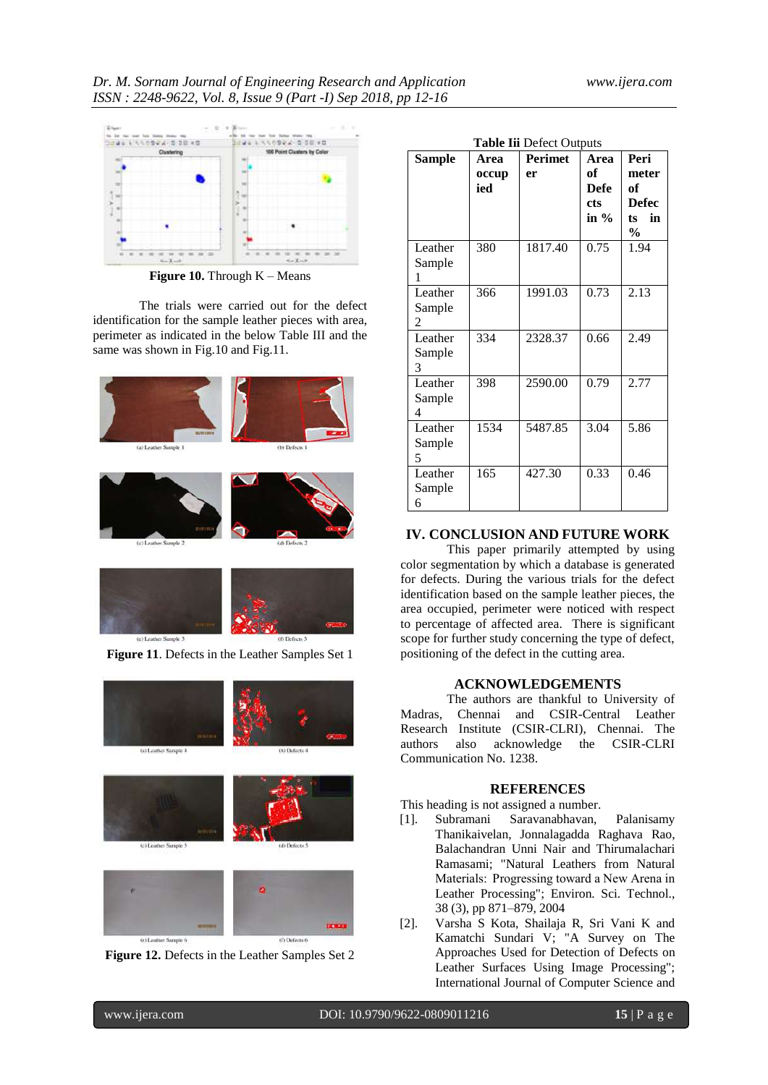

**Figure 10.** Through K – Means

The trials were carried out for the defect identification for the sample leather pieces with area, perimeter as indicated in the below Table III and the same was shown in Fig.10 and Fig.11.





(f) Defects t

| Sample  | Area  | <b>Table Iii Defect Outputs</b><br><b>Perimet</b> | Area        | Peri         |
|---------|-------|---------------------------------------------------|-------------|--------------|
|         |       | er                                                | of          | meter        |
|         | occup |                                                   |             |              |
|         | ied   |                                                   | <b>Defe</b> | of           |
|         |       |                                                   | cts         | <b>Defec</b> |
|         |       |                                                   | in $\%$     | in<br>ts.    |
|         |       |                                                   |             | $\%$         |
| Leather | 380   | 1817.40                                           | 0.75        | 1.94         |
| Sample  |       |                                                   |             |              |
| 1       |       |                                                   |             |              |
| Leather | 366   | 1991.03                                           | 0.73        | 2.13         |
| Sample  |       |                                                   |             |              |
| 2       |       |                                                   |             |              |
| Leather | 334   | 2328.37                                           | 0.66        | 2.49         |
|         |       |                                                   |             |              |
| Sample  |       |                                                   |             |              |
| 3       |       |                                                   |             |              |
| Leather | 398   | 2590.00                                           | 0.79        | 2.77         |
| Sample  |       |                                                   |             |              |
| 4       |       |                                                   |             |              |
| Leather | 1534  | 5487.85                                           | 3.04        | 5.86         |
| Sample  |       |                                                   |             |              |
| 5       |       |                                                   |             |              |
| Leather | 165   | 427.30                                            | 0.33        | 0.46         |
|         |       |                                                   |             |              |
| Sample  |       |                                                   |             |              |
| 6       |       |                                                   |             |              |

# **IV. CONCLUSION AND FUTURE WORK**

This paper primarily attempted by using color segmentation by which a database is generated for defects. During the various trials for the defect identification based on the sample leather pieces, the area occupied, perimeter were noticed with respect to percentage of affected area. There is significant scope for further study concerning the type of defect, positioning of the defect in the cutting area.

# **ACKNOWLEDGEMENTS**

The authors are thankful to University of Madras, Chennai and CSIR-Central Leather Research Institute (CSIR-CLRI), Chennai. The authors also acknowledge the CSIR-CLRI Communication No. 1238.

## **REFERENCES**

This heading is not assigned a number.

- [1]. Subramani Saravanabhavan, Palanisamy Thanikaivelan, Jonnalagadda Raghava Rao, Balachandran Unni Nair and Thirumalachari Ramasami; "Natural Leathers from Natural Materials:  Progressing toward a New Arena in Leather Processing"; Environ. Sci. Technol., 38 (3), pp 871–879, 2004
- [2]. Varsha S Kota, Shailaja R, Sri Vani K and Kamatchi Sundari V; "A Survey on The Approaches Used for Detection of Defects on Leather Surfaces Using Image Processing"; International Journal of Computer Science and